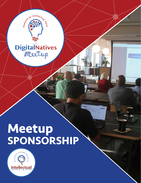

# **DigitalNatives**

## **Meetup SPONSORSHIP**

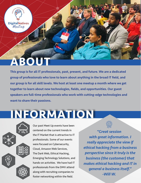

## **ABOUT**

This group is for all IT professionals, past, present, and future. We are a dedicated group of professionals who love to learn about anything in the broad IT field, and our group is for all skill levels. We host at least one meetup a month where we get together to learn about new technologies, fields, and opportunities. Our guest speakers are full-time professionals who work with cutting-edge technologies and want to share their passions.

## **INFORMATION**

Our past Meet Up events have been centered on the current trends in the IT Market that is attractive to IT professionals. Some of our events were focused on Cybersecurity, Cloud, Amazon Web Services, The Dark Web, Ethical Hacking, Emerging Technology Solutions, and hands-on activities. We have had IT professionals from the DMV attend along with recruiting companies to foster networking within the field.

*"Great session with great information. I really appreciate the view if ethical hacking from a business perspective since it truly is the business (the customer) that makes ethical hacking and IT in general a business itself." -Will W.*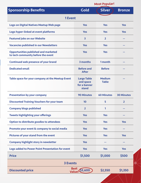|                                                                                   |                                                          | <b>Most Popular!</b>          |                   |  |
|-----------------------------------------------------------------------------------|----------------------------------------------------------|-------------------------------|-------------------|--|
| <b>Sponsorship Benefits</b>                                                       | <b>Gold</b>                                              | <b>Silver</b>                 | <b>Bronze</b>     |  |
| <b>1 Event</b>                                                                    |                                                          |                               |                   |  |
| Logo on Digital Natives Meetup Web page                                           | <b>Yes</b>                                               | <b>Yes</b>                    | <b>Yes</b>        |  |
| Logo hyper-linked at event platforms                                              | <b>Yes</b>                                               | <b>Yes</b>                    | <b>Yes</b>        |  |
| <b>Featured jobs on our Website</b>                                               | 3                                                        | $\overline{2}$                |                   |  |
| <b>Vacancies published in our Newsletters</b>                                     | <b>Yes</b>                                               | <b>Yes</b>                    |                   |  |
| <b>Opportunities published and marketed</b><br>to tech community before the event | <b>Yes</b>                                               | <b>Yes</b>                    |                   |  |
| <b>Continued web presence of your brand</b>                                       | 3 months                                                 | 1 month                       |                   |  |
| <b>Dedicated email</b>                                                            | <b>Before and</b><br><b>After</b>                        | <b>Before</b>                 |                   |  |
| Table space for your company at the Meetup Event                                  | <b>Large Table</b><br>and space<br>for a banner<br>stand | <b>Medium</b><br><b>Table</b> |                   |  |
| <b>Presentation by your company</b>                                               | <b>90 Minutes</b>                                        | <b>60 Minutes</b>             | <b>30 Minutes</b> |  |
| <b>Discounted Training Vouchers for your team</b>                                 | 10                                                       | 5                             | 2                 |  |
| <b>Company blogs published</b>                                                    | $\overline{2}$                                           | 1                             |                   |  |
| <b>Tweets highlighting your offerings</b>                                         | <b>Yes</b>                                               | <b>Yes</b>                    | --                |  |
| Option to distribute goodies to attendees                                         | <b>Yes</b>                                               | <b>Yes</b>                    | <b>Yes</b>        |  |
| Promote your event & company to social media                                      | <b>Yes</b>                                               | <b>Yes</b>                    | --                |  |
| Pictures of your stand from the event                                             | <b>Yes</b>                                               | <b>Yes</b>                    | <b>Yes</b>        |  |
| <b>Company highlight story in newsletter</b>                                      | <b>Yes</b>                                               |                               |                   |  |
| <b>Logo added to Power Point Presentation for event</b>                           | <b>Yes</b>                                               | <b>Yes</b>                    | <b>Yes</b>        |  |
| <b>Price</b>                                                                      | \$1,500                                                  | \$1,000                       | \$500             |  |
| <b>3 Events</b>                                                                   |                                                          |                               |                   |  |
| <b>Discounted price</b>                                                           | Value! \$3,600                                           | \$2,550                       | \$1,350           |  |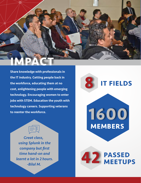

Share knowledge with professionals in the IT industry. Getting people back in the workforce, educating them at no cost, enlightening people with emerging technology. Encouraging women to enter jobs with STEM. Education the youth with technology careers. Supporting veterans to reenter the workforce.

> *Great class, using Splunk in the company but first time hand-on and learnt a lot in 2 hours. -Bilal M.*

#### **8 IT FIELDS**

**MEMBERS 1600**

**PASSED 42 MEETUPS**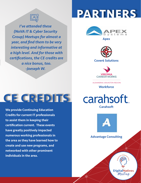

*I've attended these (NoVA IT & Cyber Security Group) Meetups for almost a year, and find them to be very interesting and informative at a high level. And for those with certifications, the CE credits are a nice bonus, too. -Joeseph W.*

### **CE CREDITS**

We provide Continuing Education Credits for current IT professionals to assist them in keeping their certification current. These events have greatly positively impacted numerous working professionals in the area as they have learned how to create and use new programs, and networked with other prominent individuals in the area.

## **PARTNERS**



Apex



Cover6 Solutions



ALEXANDRIA | ARLINGTON REGION

**Workforce** 





Advantage Consulting



**DigitalNatives**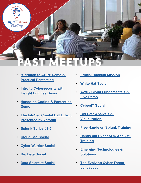

- **• [Migration to Azure Demo &](https://www.meetup.com/digitalnatives/events/254822723/)  [Practical Pentesting](https://www.meetup.com/digitalnatives/events/254822723/)**
- **• [Intro to Cybersecurity with](https://www.meetup.com/digitalnatives/events/254821848/)  [Insight Engines Demo](https://www.meetup.com/digitalnatives/events/254821848/)**
- **• [Hands-on Coding & Pentesting](https://www.meetup.com/digitalnatives/events/254691596/)  [Demo](https://www.meetup.com/digitalnatives/events/254691596/)**
- **• [The InfoSec Crystal Ball Effect.](https://www.meetup.com/digitalnatives/events/251477073/)  [Presented by Verodin](https://www.meetup.com/digitalnatives/events/251477073/)**
- **• [Splunk Series #1-5](https://www.meetup.com/digitalnatives/events/245028782/)**
- **• [Cloud Sec Social](https://www.meetup.com/digitalnatives/events/245028579/)**
- **• [Cyber Warrior Social](https://www.meetup.com/digitalnatives/events/245028539/)**
- **• [Big Data Social](https://www.meetup.com/digitalnatives/events/245028472/)**
- **• [Data Scientist Social](https://www.meetup.com/digitalnatives/events/245028428/)**
- **• [Ethical Hacking Mission](https://www.meetup.com/digitalnatives/events/245028197/)**
- **• [White Hat Social](https://www.meetup.com/digitalnatives/events/245027805/)**
- **• [AWS Cloud Fundamentals &](https://www.meetup.com/digitalnatives/events/243989663/)  [Live Demo](https://www.meetup.com/digitalnatives/events/243989663/)**
- **• [Cyber/IT Social](https://www.meetup.com/digitalnatives/events/243980537/)**
- **• [Big Data Analysis &](https://www.meetup.com/digitalnatives/events/239671729/)  [Visualization](https://www.meetup.com/digitalnatives/events/239671729/)**
- **• [Free Hands on Splunk Training](https://www.meetup.com/digitalnatives/events/243173832/)**
- **• [Hands pm Cyber SOC Analyst](https://www.meetup.com/digitalnatives/events/240136479/)  [Training](https://www.meetup.com/digitalnatives/events/240136479/)**
- **• [Emerging Technologies &](https://www.meetup.com/digitalnatives/events/240136234/)  [Solutions](https://www.meetup.com/digitalnatives/events/240136234/)**
- **Find Evolving Cyber Threat [Landscape](https://www.meetup.com/digitalnatives/events/240136234/)**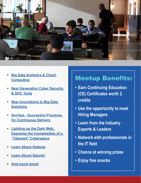

- **• [Big Data Analytics & Cloud](https://www.meetup.com/digitalnatives/events/239671729/)  [Computing](https://www.meetup.com/digitalnatives/events/239671729/)**
- **• [Next Generation Cyber Security](https://www.meetup.com/digitalnatives/events/239010629/)  [& SOC Tools](https://www.meetup.com/digitalnatives/events/239010629/)**
- **• [New Innovations In Big Data](https://www.meetup.com/digitalnatives/events/229224158/)  [Solutions](https://www.meetup.com/digitalnatives/events/229224158/)**
- **• [DevOps Successful Practices](https://www.meetup.com/digitalnatives/events/229224158/)  [for Continuous Delivery](https://www.meetup.com/digitalnatives/events/229224158/)**
- **• [Lighting up the Dark Web:](https://www.meetup.com/digitalnatives/events/229224158/)  [Exposing the Complexities of a](https://www.meetup.com/digitalnatives/events/229224158/)  ["Tabooed" Cyberspace](https://www.meetup.com/digitalnatives/events/229224158/)**
- **• [Learn About Hadoop](https://www.meetup.com/digitalnatives/events/229224158/)**
- **• [Learn About Splunk!](https://www.meetup.com/digitalnatives/events/228608507/)**
- **• [And much more!](https://www.meetup.com/digitalnatives/)**

#### Meetup Benefits:

- **• Earn Continuing Education (CE) Certificates worth 2 credits**
- **• Use the opportunity to meet Hiring Managers**
- **• Learn from the Industry Experts & Leaders**
- **• Network with professionals in the IT field**
- **• Chance at winning prizes**
- **• Enjoy free snacks**